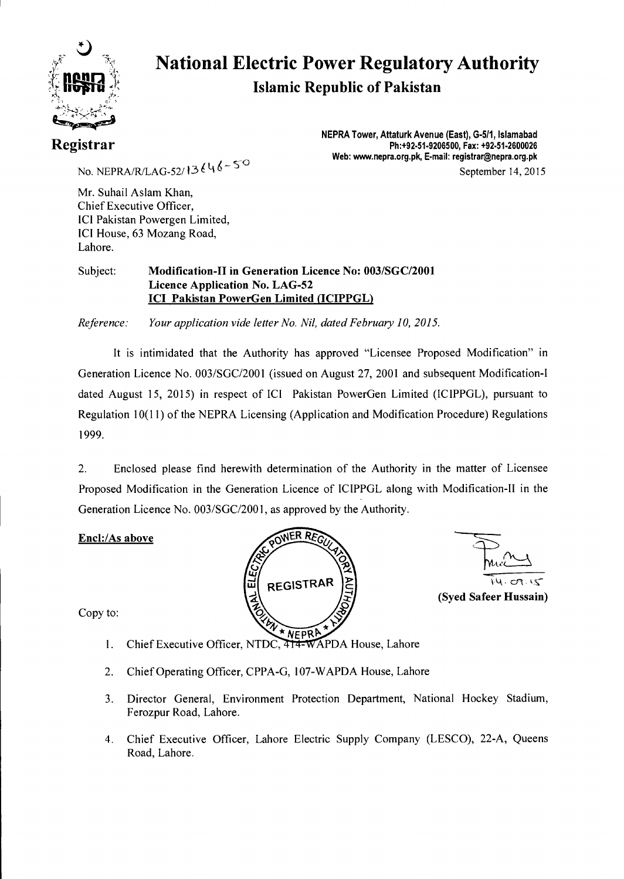

# **National Electric Power Regulatory Authority Islamic Republic of Pakistan**

### **Registrar**

**NEPRA Tower, Attaturk Avenue (East), G-511, Islamabad Ph:+92.51-9206500, Fax: +92-51-2600026 Web: www.nepra.org.pk, E-mail: registrar@nepra.org.pk**  September 14, 2015

No. NEPRA/R/LAG-52/13 $646 - 50$ 

Mr. Suhail Aslam Khan, Chief Executive Officer, ICI Pakistan Powergen Limited, ICI House, 63 Mozang Road, Lahore.

#### Subject: **Modification-II in Generation Licence No: 003/SGC/2001 Licence Application No. LAG-52 ICI Pakistan PowerGen Limited (ICIPPGL)**

*Reference: Your application vide letter No. Nil, dated February 10, 2015.* 

It is intimidated that the Authority has approved "Licensee Proposed Modification" in Generation Licence No. 003/SGC/2001 (issued on August 27, 2001 and subsequent Modification-I dated August 15, 2015) in respect of ICI Pakistan PowerGen Limited (ICIPPGL), pursuant to Regulation 10(11) of the NEPRA Licensing (Application and Modification Procedure) Regulations 1999.

2. Enclosed please find herewith determination of the Authority in the matter of Licensee Proposed Modification in the Generation Licence of ICIPPGL along with Modification-II in the Generation Licence No. 003/SGC/2001, as approved by the Authority.

#### **Encl:/As above**





**(Syed Safeer Hussain)** 

Copy to:

- 1. Chief Executive Officer, NTDC,  $\frac{1}{414}$ WAPDA House, Lahore
- 2. Chief Operating Officer, CPPA-G, 107-WAPDA House, Lahore
- 3. Director General, Environment Protection Department, National Hockey Stadium, Ferozpur Road, Lahore.
- 4. Chief Executive Officer, Lahore Electric Supply Company (LESCO), 22-A, Queens Road, Lahore.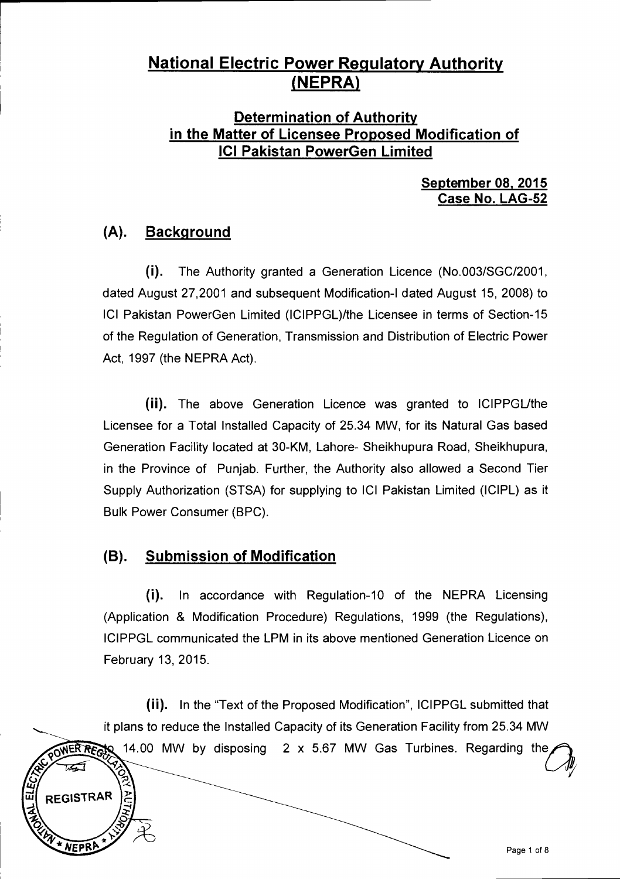### **National Electric Power Regulatory Authority**  (**NEPRA**)

#### **Determination of Authority in the Matter of Licensee Proposed Modification of ICI Pakistan PowerGen Limited**

#### **September 08, 2015 Case No. LAG-52**

### **(A). Background**

(i). The Authority granted a Generation Licence (No.003/SGC/2001, dated August 27,2001 and subsequent Modification-I dated August 15, 2008) to ICI Pakistan PowerGen Limited (ICIPPGL)/the Licensee in terms of Section-15 of the Regulation of Generation, Transmission and Distribution of Electric Power Act, 1997 (the NEPRA Act).

(ii). The above Generation Licence was granted to ICIPPGL/the Licensee for a Total Installed Capacity of 25.34 MW, for its Natural Gas based Generation Facility located at 30-KM, Lahore- Sheikhupura Road, Sheikhupura, in the Province of Punjab. Further, the Authority also allowed a Second Tier Supply Authorization (STSA) for supplying to ICI Pakistan Limited (ICIPL) as it Bulk Power Consumer (BPC).

### **(B). Submission of Modification**

**REGISTRAR** 

(i). In accordance with Regulation-10 of the NEPRA Licensing (Application & Modification Procedure) Regulations, 1999 (the Regulations), ICIPPGL communicated the LPM in its above mentioned Generation Licence on February 13, 2015.

(ii). In the "Text of the Proposed Modification", ICIPPGL submitted that it plans to reduce the Installed Capacity of its Generation Facility from 25.34 MW OWER REGIS 14.00 MW by disposing 2 x 5.67 MW Gas Turbines. Regarding the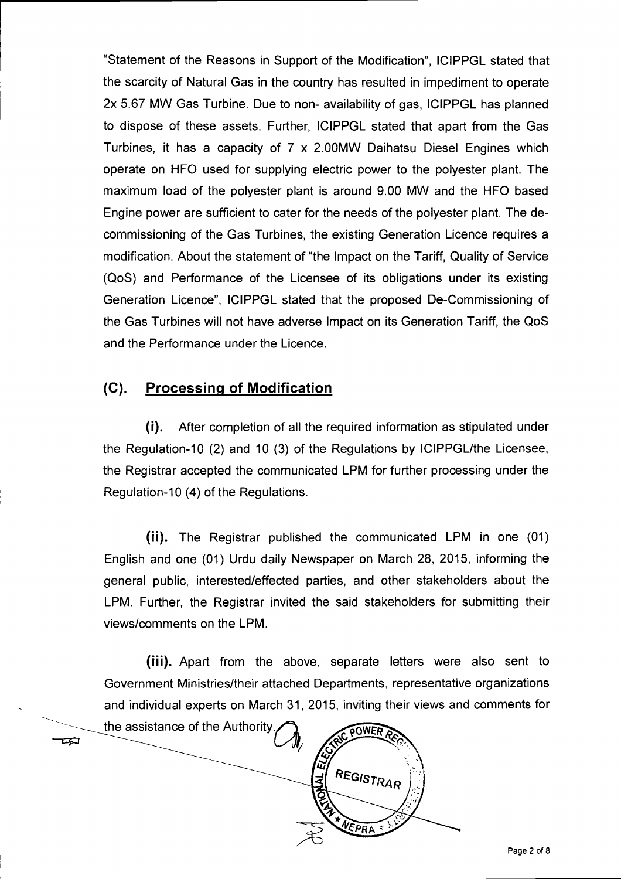"Statement of the Reasons in Support of the Modification", ICIPPGL stated that the scarcity of Natural Gas in the country has resulted in impediment to operate 2x 5.67 MW Gas Turbine. Due to non- availability of gas, ICIPPGL has planned to dispose of these assets. Further, ICIPPGL stated that apart from the Gas Turbines, it has a capacity of 7 x 2.00MW Daihatsu Diesel Engines which operate on HFO used for supplying electric power to the polyester plant. The maximum load of the polyester plant is around 9.00 MW and the HFO based Engine power are sufficient to cater for the needs of the polyester plant. The decommissioning of the Gas Turbines, the existing Generation Licence requires a modification. About the statement of "the Impact on the Tariff, Quality of Service (QoS) and Performance of the Licensee of its obligations under its existing Generation Licence", ICIPPGL stated that the proposed De-Commissioning of the Gas Turbines will not have adverse Impact on its Generation Tariff, the QoS and the Performance under the Licence.

#### **(C). Processing of Modification**

(i). After completion of all the required information as stipulated under the Regulation-10 (2) and 10 (3) of the Regulations by ICIPPGL/the Licensee, the Registrar accepted the communicated LPM for further processing under the Regulation-10 (4) of the Regulations.

(ii). The Registrar published the communicated LPM in one (01) English and one (01) Urdu daily Newspaper on March 28, 2015, informing the general public, interested/effected parties, and other stakeholders about the LPM. Further, the Registrar invited the said stakeholders for submitting their views/comments on the LPM.

(iii). Apart from the above, separate letters were also sent to Government Ministries/their attached Departments, representative organizations and individual experts on March 31, 2015, inviting their views and comments for

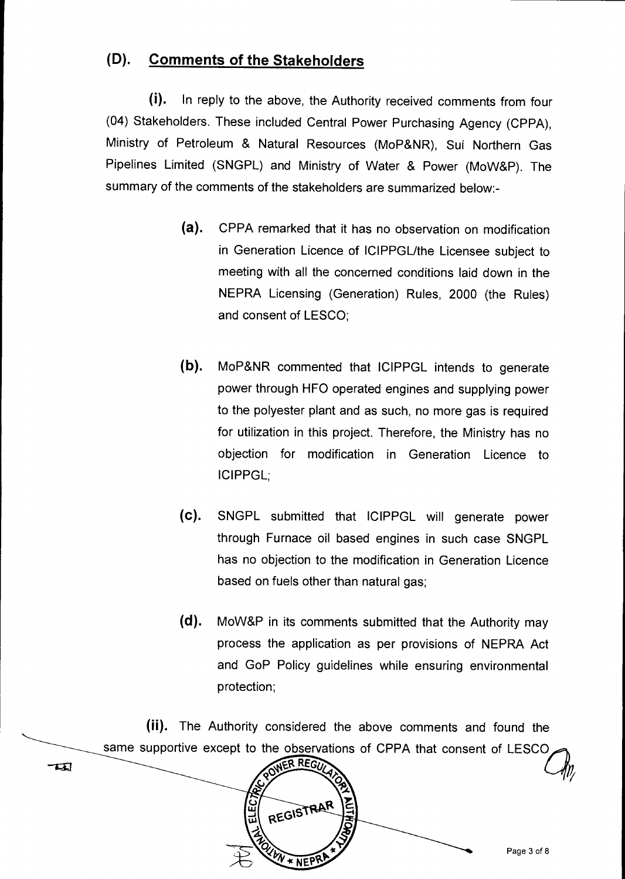### **(D). Comments of the Stakeholders**

(i). In reply to the above, the Authority received comments from four (04) Stakeholders. These included Central Power Purchasing Agency (CPPA), Ministry of Petroleum & Natural Resources (MoP&NR), Sui Northern Gas Pipelines Limited (SNGPL) and Ministry of Water & Power (MoW&P). The summary of the comments of the stakeholders are summarized below:-

- (a). CPPA remarked that it has no observation on modification in Generation Licence of ICIPPGL/the Licensee subject to meeting with all the concerned conditions laid down in the NEPRA Licensing (Generation) Rules, 2000 (the Rules) and consent of LESCO;
- (b). MoP&NR commented that ICIPPGL intends to generate power through HFO operated engines and supplying power to the polyester plant and as such, no more gas is required for utilization in this project. Therefore, the Ministry has no objection for modification in Generation Licence to ICIPPGL;
- (C). SNGPL submitted that ICIPPGL will generate power through Furnace oil based engines in such case SNGPL has no objection to the modification in Generation Licence based on fuels other than natural gas;
- **(d).** MoW&P in its comments submitted that the Authority may process the application as per provisions of NEPRA Act and GoP Policy guidelines while ensuring environmental protection;

(ii). The Authority considered the above comments and found the same supportive except to the observations of CPPA that consent of LESCO<br>
NER REGIVENCES

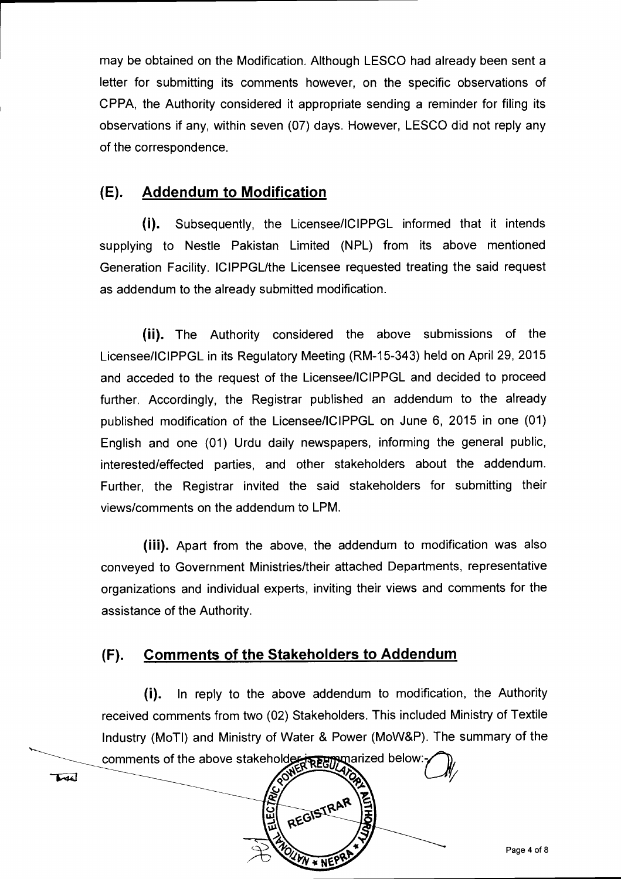may be obtained on the Modification. Although LESCO had already been sent a letter for submitting its comments however, on the specific observations of CPPA, the Authority considered it appropriate sending a reminder for filing its observations if any, within seven (07) days. However, LESCO did not reply any of the correspondence.

#### **(E). Addendum to Modification**

(i). Subsequently, the Licensee/ICIPPGL informed that it intends supplying to Nestle Pakistan Limited (NPL) from its above mentioned Generation Facility. ICIPPGL/the Licensee requested treating the said request as addendum to the already submitted modification.

(ii). The Authority considered the above submissions of the Licensee/ICIPPGL in its Regulatory Meeting (RM-15-343) held on April 29, 2015 and acceded to the request of the Licensee/ICIPPGL and decided to proceed further. Accordingly, the Registrar published an addendum to the already published modification of the Licensee/ICIPPGL on June 6, 2015 in one (01) English and one (01) Urdu daily newspapers, informing the general public, interested/effected parties, and other stakeholders about the addendum. Further, the Registrar invited the said stakeholders for submitting their views/comments on the addendum to LPM.

(iii). Apart from the above, the addendum to modification was also conveyed to Government Ministries/their attached Departments, representative organizations and individual experts, inviting their views and comments for the assistance of the Authority.

### **(F). Comments of the Stakeholders to Addendum**

TAC

(i). In reply to the above addendum to modification, the Authority received comments from two (02) Stakeholders. This included Ministry of Textile Industry (MoTI) and Ministry of Water & Power (MoW&P). The summary of the

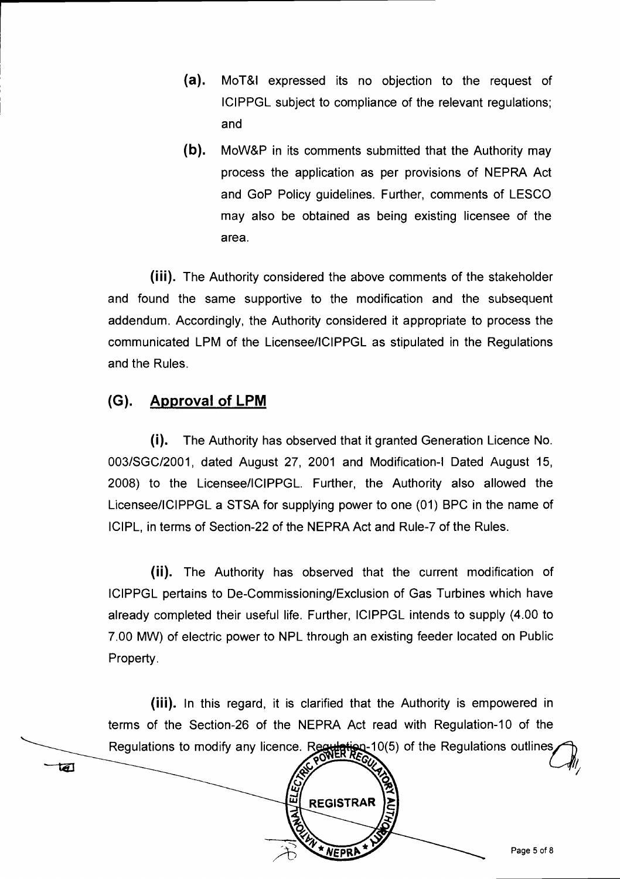- (a). MoT&I expressed its no objection to the request of ICIPPGL subject to compliance of the relevant regulations; and
- (b). MoW&P in its comments submitted that the Authority may process the application as per provisions of NEPRA Act and GoP Policy guidelines. Further, comments of LESCO may also be obtained as being existing licensee of the area.

(iii). The Authority considered the above comments of the stakeholder and found the same supportive to the modification and the subsequent addendum. Accordingly, the Authority considered it appropriate to process the communicated LPM of the Licensee/ICIPPGL as stipulated in the Regulations and the Rules.

### **(G). Approval of LPM**

 $\overline{\mathbf{d}}$ 

(i). The Authority has observed that it granted Generation Licence No. 003/SGC/2001, dated August 27, 2001 and Modification-I Dated August 15, 2008) to the Licensee/ICIPPGL. Further, the Authority also allowed the Licensee/ICIPPGL a STSA for supplying power to one (01) BPC in the name of ICIPL, in terms of Section-22 of the NEPRA Act and Rule-7 of the Rules.

(ii). The Authority has observed that the current modification of ICIPPGL pertains to De-Commissioning/Exclusion of Gas Turbines which have already completed their useful life. Further, ICIPPGL intends to supply (4.00 to 7.00 MW) of electric power to NPL through an existing feeder located on Public Property.

(iii). In this regard, it is clarified that the Authority is empowered in terms of the Section-26 of the NEPRA Act read with Regulation-10 of the Regulations to modify any licence. Regulation 10(5) of the Regulations outlines  $\mathcal{C}_{\P}$ 

**REGISTRAR** 

NEPRA

冚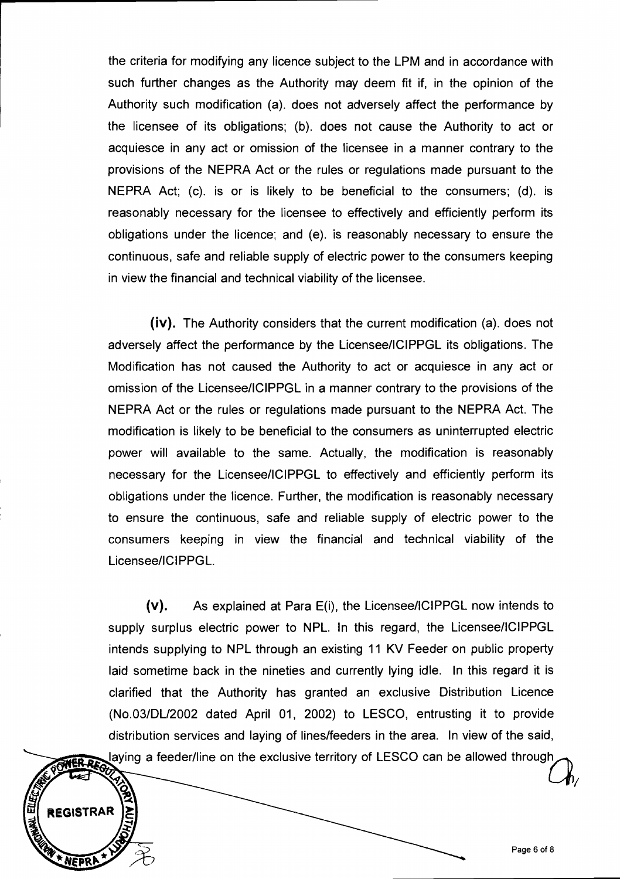the criteria for modifying any licence subject to the LPM and in accordance with such further changes as the Authority may deem fit if, in the opinion of the Authority such modification (a). does not adversely affect the performance by the licensee of its obligations; (b). does not cause the Authority to act or acquiesce in any act or omission of the licensee in a manner contrary to the provisions of the NEPRA Act or the rules or regulations made pursuant to the NEPRA Act; (c). is or is likely to be beneficial to the consumers; (d). is reasonably necessary for the licensee to effectively and efficiently perform its obligations under the licence; and (e). is reasonably necessary to ensure the continuous, safe and reliable supply of electric power to the consumers keeping in view the financial and technical viability of the licensee.

(iv). The Authority considers that the current modification (a). does not adversely affect the performance by the Licensee/ICIPPGL its obligations. The Modification has not caused the Authority to act or acquiesce in any act or omission of the Licensee/ICIPPGL in a manner contrary to the provisions of the NEPRA Act or the rules or regulations made pursuant to the NEPRA Act. The modification is likely to be beneficial to the consumers as uninterrupted electric power will available to the same. Actually, the modification is reasonably necessary for the Licensee/ICIPPGL to effectively and efficiently perform its obligations under the licence. Further, the modification is reasonably necessary to ensure the continuous, safe and reliable supply of electric power to the consumers keeping in view the financial and technical viability of the Licensee/ICIPPGL.

(v). As explained at Para E(i), the Licensee/ICIPPGL now intends to supply surplus electric power to NPL. In this regard, the Licensee/ICIPPGL intends supplying to NPL through an existing 11 KV Feeder on public property laid sometime back in the nineties and currently lying idle. In this regard it is clarified that the Authority has granted an exclusive Distribution Licence (No.03/DL/2002 dated April 01, 2002) to LESCO, entrusting it to provide distribution services and laying of lines/feeders in the area. In view of the said, laying a feeder/line on the exclusive territory of LESCO can be allowed through

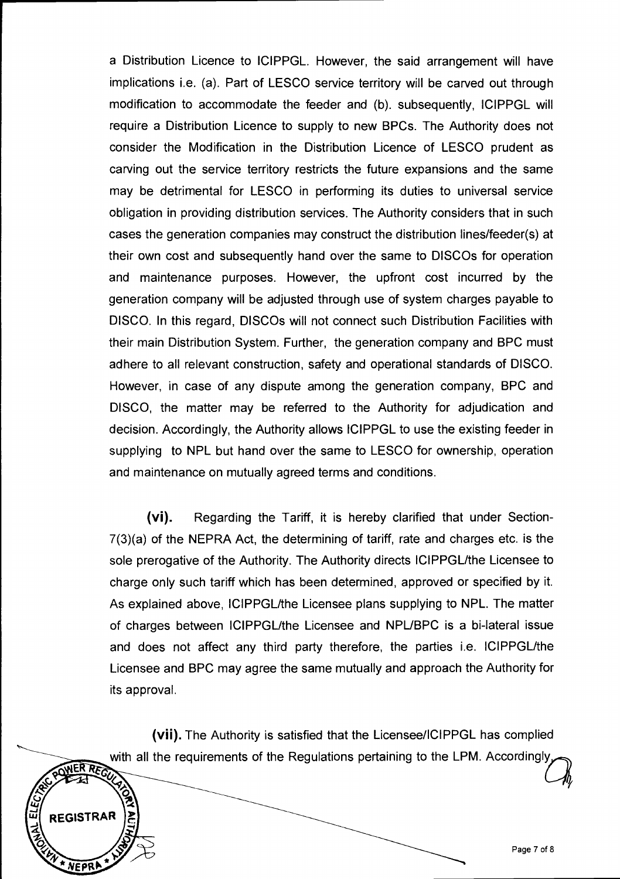a Distribution Licence to ICIPPGL. However, the said arrangement will have implications i.e. (a). Part of LESCO service territory will be carved out through modification to accommodate the feeder and (b). subsequently, ICIPPGL will require a Distribution Licence to supply to new BPCs. The Authority does not consider the Modification in the Distribution Licence of LESCO prudent as carving out the service territory restricts the future expansions and the same may be detrimental for LESCO in performing its duties to universal service obligation in providing distribution services. The Authority considers that in such cases the generation companies may construct the distribution lines/feeder(s) at their own cost and subsequently hand over the same to DISCOs for operation and maintenance purposes. However, the upfront cost incurred by the generation company will be adjusted through use of system charges payable to DISCO. In this regard, DISCOs will not connect such Distribution Facilities with their main Distribution System. Further, the generation company and BPC must adhere to all relevant construction, safety and operational standards of DISCO. However, in case of any dispute among the generation company, BPC and DISCO, the matter may be referred to the Authority for adjudication and decision. Accordingly, the Authority allows ICIPPGL to use the existing feeder in supplying to NPL but hand over the same to LESCO for ownership, operation and maintenance on mutually agreed terms and conditions.

(vi). Regarding the Tariff, it is hereby clarified that under Section-7(3)(a) of the NEPRA Act, the determining of tariff, rate and charges etc. is the sole prerogative of the Authority. The Authority directs ICIPPGL/the Licensee to charge only such tariff which has been determined, approved or specified by it. As explained above, ICIPPGL/the Licensee plans supplying to NPL. The matter of charges between ICIPPGL/the Licensee and NPL/BPC is a bi-lateral issue and does not affect any third party therefore, the parties i.e. ICIPPGL/the Licensee and BPC may agree the same mutually and approach the Authority for its approval.

(vii). The Authority is satisfied that the Licensee/ICIPPGL has complied with all the requirements of the Regulations pertaining to the LPM. Accordingly<br>
NER REGIMED (

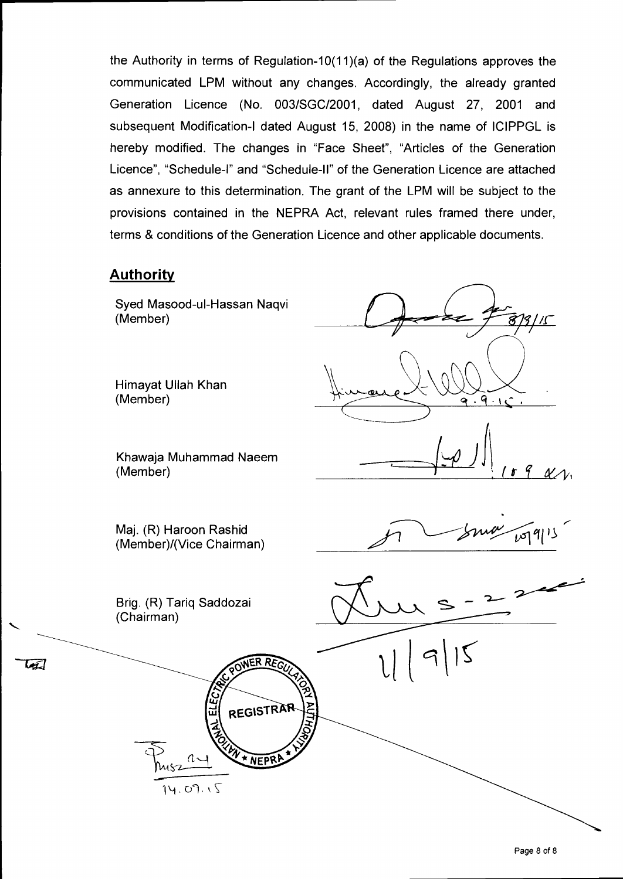the Authority in terms of Regulation-10(11)(a) of the Regulations approves the communicated LPM without any changes. Accordingly, the already granted Generation Licence (No. 003/SGC/2001, dated August 27, 2001 and subsequent Modification-I dated August 15, 2008) in the name of ICIPPGL is hereby modified. The changes in "Face Sheet", "Articles of the Generation Licence", "Schedule-I" and "Schedule-II" of the Generation Licence are attached as annexure to this determination. The grant of the LPM will be subject to the provisions contained in the NEPRA Act, relevant rules framed there under, terms & conditions of the Generation Licence and other applicable documents.

#### **Authority**

W

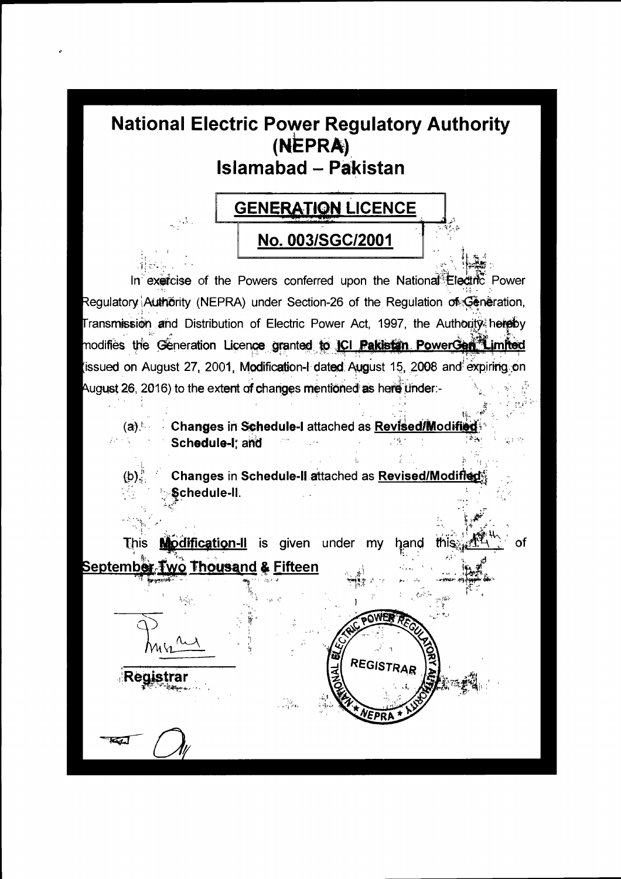# **National Electric Power Regulatory Authority** (NEPRA) **Islamabad - Pakistan**

 $\sim 1$ 

 $(b)$ .

**Registrar** 

61



In exercise of the Powers conferred upon the National Electric Power Regulatory Authörity (NEPRA) under Section-26 of the Regulation of Generation, Transmission and Distribution of Electric Power Act, 1997, the Authority hereby modifies the Generation Licence granted to ICI Pakistan PowerGen Limited (issued on August 27, 2001, Modification-I dated August 15, 2008 and expiring on August 26, 2016) to the extent of changes mentioned as here under:-

 $(a)$   $\sim$ Changes in Schedule-I attached as Revised/Modifi Schedule-I; and  $\rightarrow s_{1}$  .

Changes in Schedule-II attached as Revised/Modified Schedule-II.

REGISTRA

of

Modification-II is given under my This hand this September Two Thousand & Fifteen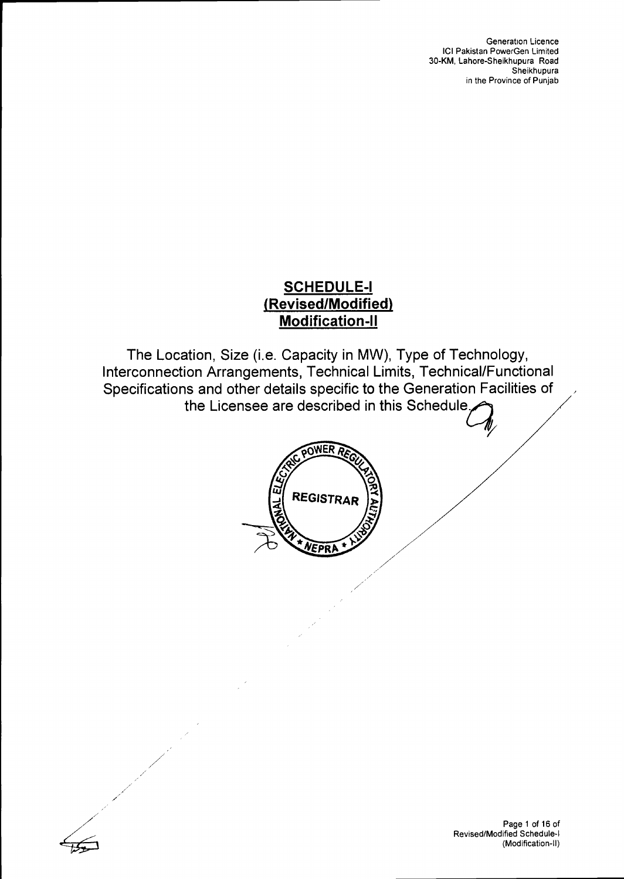Generation Licence ICI Pakistan PowerGen Limited 30-KM, Lahore-Sheikhupura Road Sheikhupura in the Province of Punjab

### **SCHEDULE-I (Revised/Modified) Modification-II**

The Location, Size (i.e. Capacity in MW), Type of Technology, Interconnection Arrangements, Technical Limits, Technical/Functional Specifications and other details specific to the Generation Facilities of the Licensee are described in this Schedule





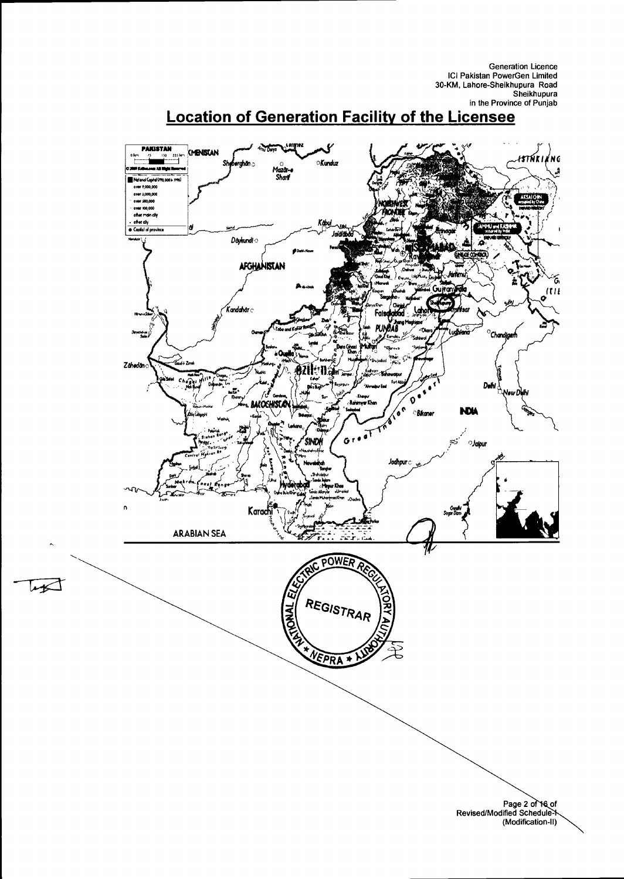Generation Licence<br>ICI Pakistan PowerGen Limited<br>30-KM, Lahore-Sheikhupura Road Sheikhupura in the Province of Punjab

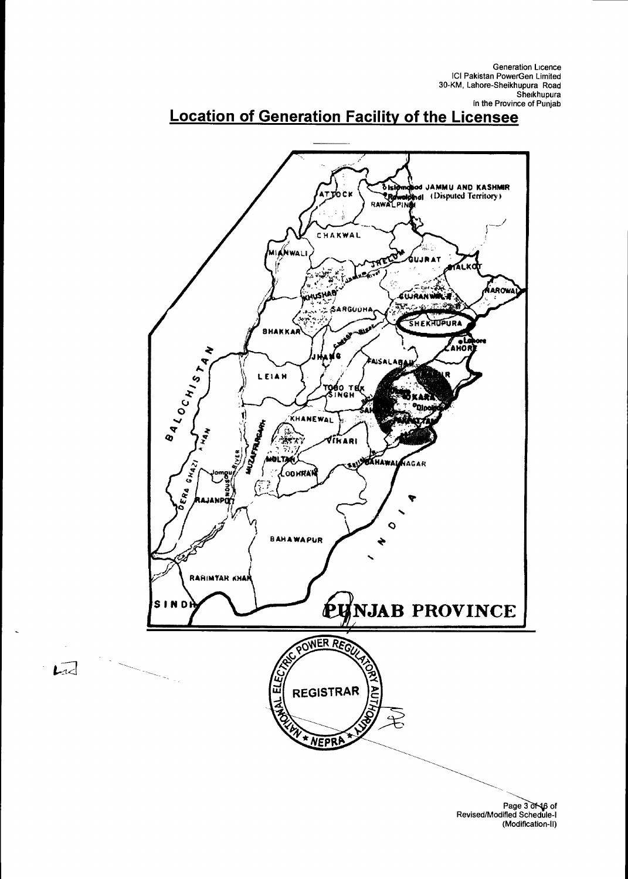

 $\overline{L}$ 

# **Location of Generation Facility of the Licensee**

Page 3 of 46 of<br>Revised/Modified Schedule-I (Modification-II)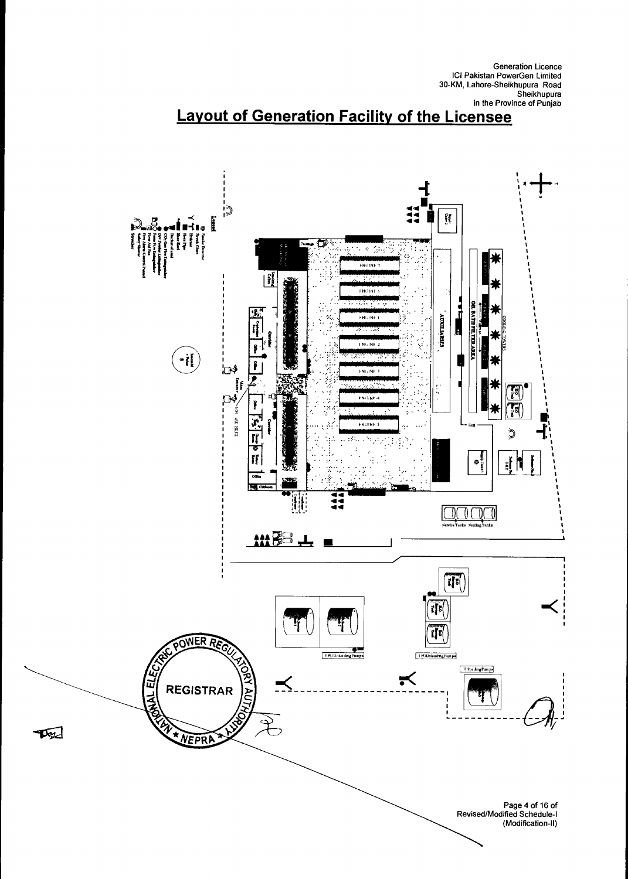Generation Licence<br>ICI Pakistan PowerGen Limited 30-KM, Lahore-Sheikhupura Road Sheikhupura in the Province of Punjab



# **Layout of Generation Facility of the Licensee**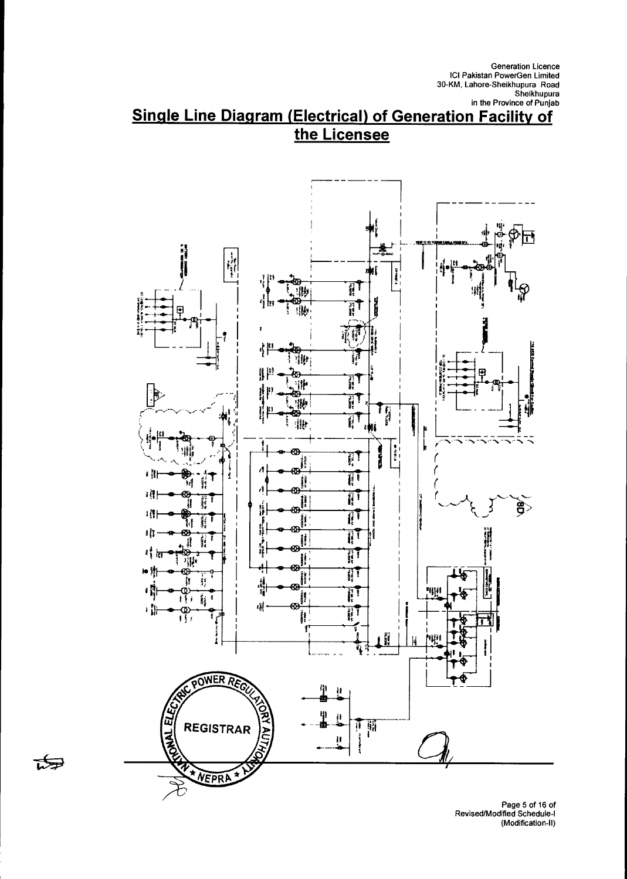Generation Licence<br>ICI Pakistan PowerGen Limited<br>30-KM, Lahore-Sheikhupura Road Sheikhupura in the Province of Punjab

### **Single Line Diagram (Electrical) of Generation Facility of** the Licensee



स्त्री

Page 5 of 16 of<br>| Revised/Modified Schedule<br>| (Modification-II)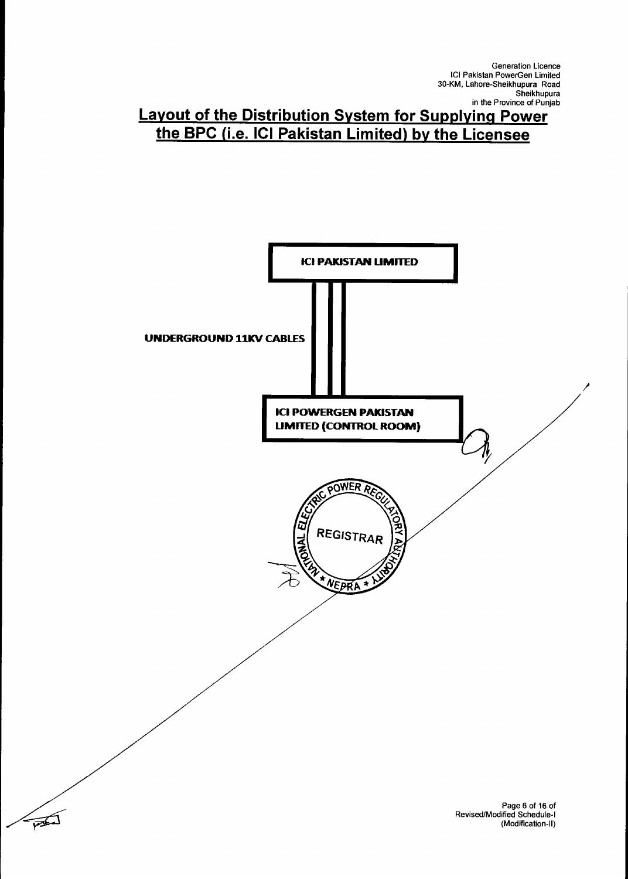Generation Licence ICI Pakistan PowerGen Limited 30-KM, Lahore-Sheikhupura Road Sheikhupura in the Province of Punjab

### **Layout of the Distribution System for Supplying Power the BPC (i.e. ICI Pakistan Limited) by the Licensee**

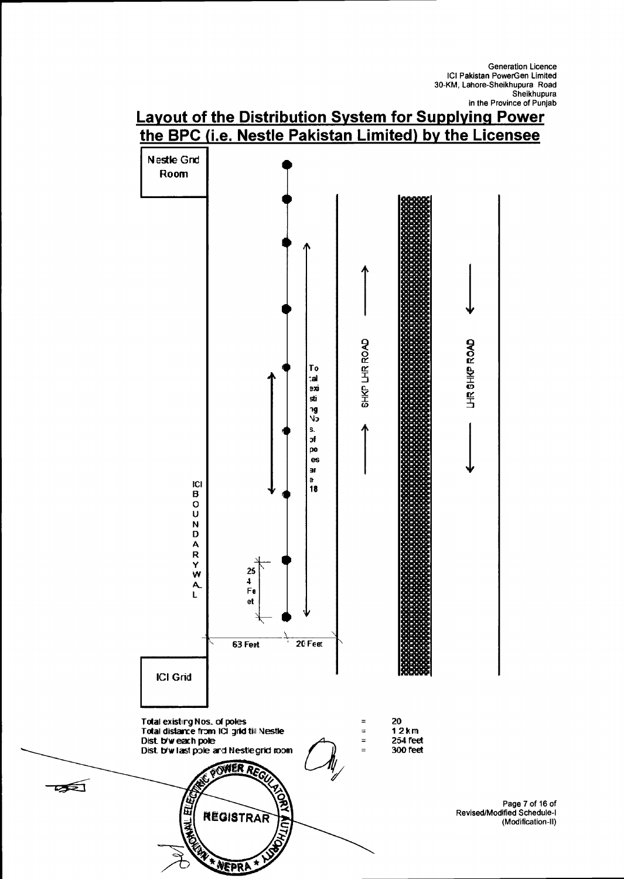

 $\mathbb{R}$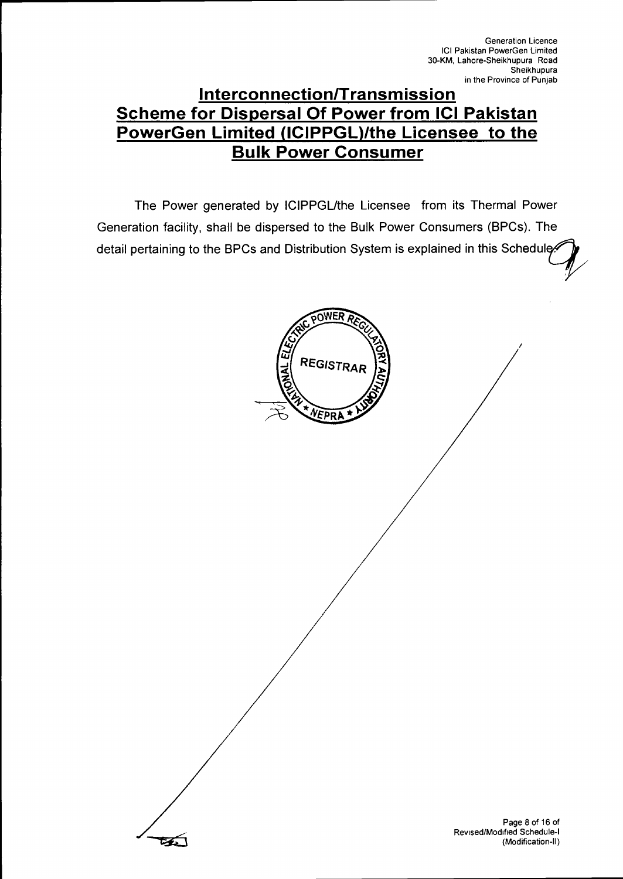### **Interconnection/Transmission Scheme for Dispersal Of Power from ICI Pakistan PowerGen Limited (ICIPPGL)/the Licensee to the Bulk Power Consumer**

The Power generated by ICIPPGL/the Licensee from its Thermal Power Generation facility, shall be dispersed to the Bulk Power Consumers (BPCs). The detail pertaining to the BPCs and Distribution System is explained in this Schedule



Page 8 of 16 of Revised/Modified Schedule-I (Modification-II)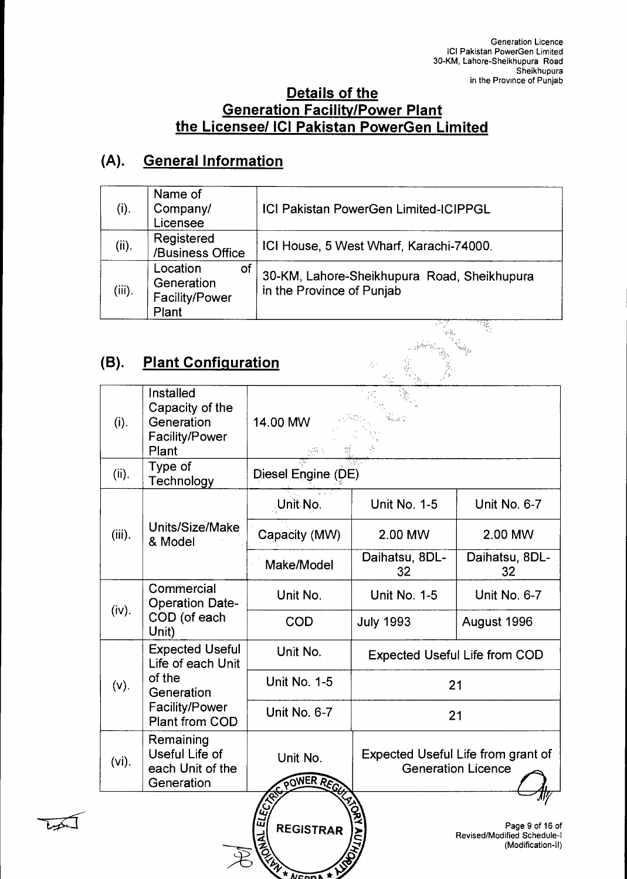#### **Details of the Generation Facility/Power Plant the Licensee/ ICI Pakistan PowerGen Limited**

## **(A). General Information**

| (i).                                                                                               | Name of<br>Company/<br>Licensee                         | ICI Pakistan PowerGen Limited-ICIPPGL                                    |  |  |
|----------------------------------------------------------------------------------------------------|---------------------------------------------------------|--------------------------------------------------------------------------|--|--|
| (ii).                                                                                              | Registered<br>/Business Office                          | ICI House, 5 West Wharf, Karachi-74000.                                  |  |  |
| $(iii)$ .                                                                                          | Location<br>of<br>Generation<br>Facility/Power<br>Plant | 30-KM, Lahore-Sheikhupura Road, Sheikhupura<br>in the Province of Punjab |  |  |
| <b>Plant Configuration</b><br>(B).<br>$\mathcal{P}^{\mathcal{P}^{\mathcal{M}}}_{\mathcal{P}}$<br>. |                                                         |                                                                          |  |  |

### **(B). Plant Configuration**

| (i).      | Installed<br>Capacity of the<br>Generation<br><b>Facility/Power</b><br>Plant                                          | 14.00 MW                                                        |                                      |                                                                     |  |
|-----------|-----------------------------------------------------------------------------------------------------------------------|-----------------------------------------------------------------|--------------------------------------|---------------------------------------------------------------------|--|
| (ii).     | Type of<br>Technology                                                                                                 |                                                                 | Diesel Engine (DE)                   |                                                                     |  |
|           |                                                                                                                       | Unit No.                                                        | <b>Unit No. 1-5</b>                  | Unit No. 6-7                                                        |  |
| $(iii)$ . | Units/Size/Make<br>& Model                                                                                            | Capacity (MW)                                                   | 2.00 MW                              | 2.00 MW                                                             |  |
|           |                                                                                                                       | Make/Model                                                      | Daihatsu, 8DL-<br>32                 | Daihatsu, 8DL-<br>32                                                |  |
|           | Commercial<br><b>Operation Date-</b><br>COD (of each<br>Unit)                                                         | Unit No.                                                        | <b>Unit No. 1-5</b>                  | Unit No. 6-7                                                        |  |
| (iv).     |                                                                                                                       | <b>COD</b>                                                      | <b>July 1993</b>                     | August 1996                                                         |  |
|           | <b>Expected Useful</b><br>Life of each Unit<br>of the<br>Generation<br><b>Facility/Power</b><br><b>Plant from COD</b> | Unit No.                                                        | <b>Expected Useful Life from COD</b> |                                                                     |  |
| (v).      |                                                                                                                       | <b>Unit No. 1-5</b>                                             | 21                                   |                                                                     |  |
|           |                                                                                                                       | Unit No. 6-7                                                    | 21                                   |                                                                     |  |
| $(vi)$ .  | Remaining<br>Useful Life of<br>each Unit of the<br>Generation                                                         | Unit No.<br>POWER RECT                                          |                                      | Expected Useful Life from grant of<br><b>Generation Licence</b>     |  |
|           |                                                                                                                       | ELE7<br>ELE7<br><b>REGISTRAR</b><br>$\frac{1}{2}$<br>A AICODA * |                                      | Page 9 of 16 of<br>Revised/Modified Schedule-1<br>(Modification-II) |  |

لكعينا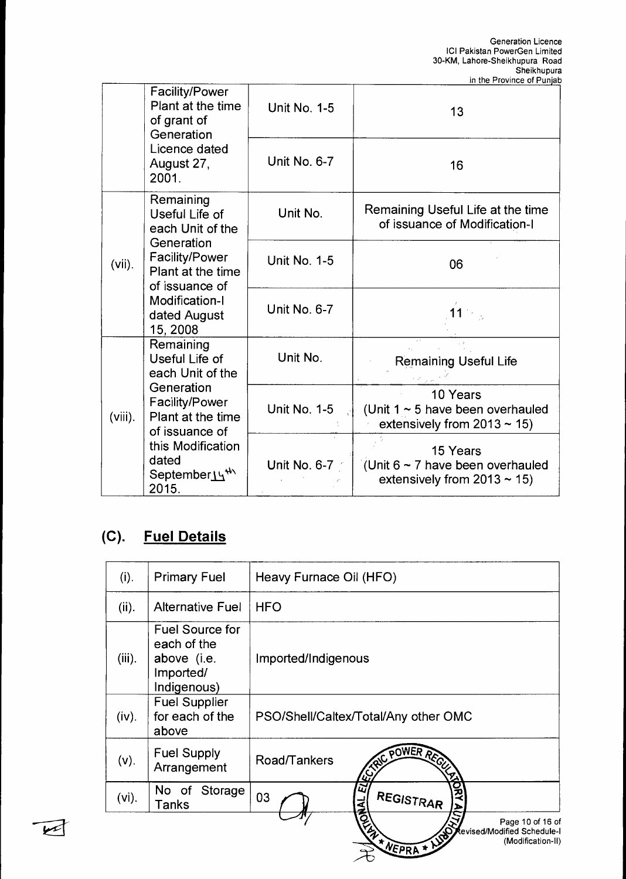|                                                 | <b>Facility/Power</b><br>Plant at the time<br>of grant of<br>Generation                                                                             | <b>Unit No. 1-5</b> | 13                                                                                        |
|-------------------------------------------------|-----------------------------------------------------------------------------------------------------------------------------------------------------|---------------------|-------------------------------------------------------------------------------------------|
|                                                 | Licence dated<br>August 27,<br>2001.                                                                                                                | Unit No. 6-7        | 16                                                                                        |
| Remaining<br>Useful Life of<br>each Unit of the |                                                                                                                                                     | Unit No.            | Remaining Useful Life at the time<br>of issuance of Modification-I                        |
| $(vii)$ .                                       | Generation<br><b>Facility/Power</b><br>Plant at the time<br>of issuance of<br>Modification-I<br>dated August<br>15, 2008                            | <b>Unit No. 1-5</b> | 06                                                                                        |
|                                                 |                                                                                                                                                     | Unit No. 6-7        |                                                                                           |
|                                                 | Remaining<br>Useful Life of<br>each Unit of the                                                                                                     | Unit No.            | <b>Remaining Useful Life</b>                                                              |
| $(viii)$ .                                      | Generation<br>Facility/Power<br>Plant at the time<br>of issuance of<br>this Modification<br>dated<br>September <sub>14</sub> <sup>th</sup><br>2015. | <b>Unit No. 1-5</b> | 10 Years<br>(Unit $1 \sim 5$ have been overhauled<br>extensively from $2013 \approx 15$ ) |
|                                                 |                                                                                                                                                     | Unit No. 6-7        | 15 Years<br>(Unit $6 \sim 7$ have been overhauled<br>extensively from $2013 \approx 15$ ) |

# **(C). Fuel Details**

 $\sqrt{2}$ 

| (i).      | <b>Primary Fuel</b>                                                              | Heavy Furnace Oil (HFO)                                                               |
|-----------|----------------------------------------------------------------------------------|---------------------------------------------------------------------------------------|
| (ii).     | <b>Alternative Fuel</b>                                                          | <b>HFO</b>                                                                            |
| $(iii)$ . | <b>Fuel Source for</b><br>each of the<br>above (i.e.<br>Imported/<br>Indigenous) | Imported/Indigenous                                                                   |
| (iv).     | <b>Fuel Supplier</b><br>for each of the<br>above                                 | PSO/Shell/Caltex/Total/Any other OMC                                                  |
| $(v)$ .   | <b>Fuel Supply</b><br>Arrangement                                                | REC. POWER REGIST<br>Road/Tankers                                                     |
| $(vi)$ .  | No of Storage<br>Tanks                                                           | $\overline{\mathbf{z}}$<br>REGISTRAR<br>03                                            |
|           |                                                                                  | A MEPRA + NOT<br>Page 10 of 16 of<br>Revised/Modified Schedule-I<br>(Modification-II) |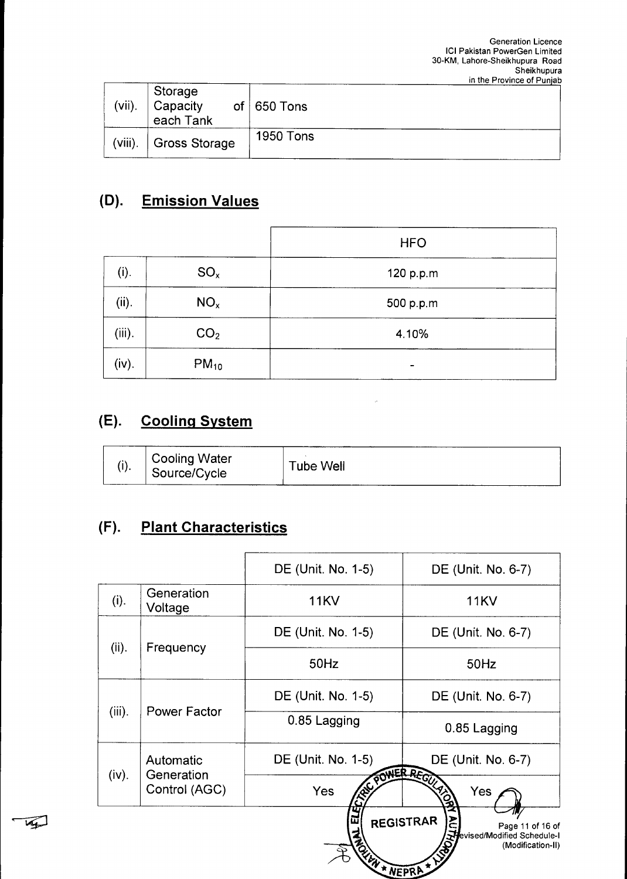| $(vii)$ .  | Storage<br>Capacity<br>each Tank | of $650$ Tons    |  |
|------------|----------------------------------|------------------|--|
| $(viii)$ . | Gross Storage                    | <b>1950 Tons</b> |  |

# **(D). Emission Values**

|           |                 | <b>HFO</b> |
|-----------|-----------------|------------|
| (i).      | $SO_{x}$        | 120 p.p.m  |
| (ii).     | NO <sub>x</sub> | 500 p.p.m  |
| $(iii)$ . | CO <sub>2</sub> | 4.10%      |
| (iv).     | $PM_{10}$       | -          |

# **(E). Cooling System**

|  | <b>Cooling Water</b><br>Source/Cycle | Tube Well |  |
|--|--------------------------------------|-----------|--|
|--|--------------------------------------|-----------|--|

# **(F). Plant Characteristics**

 $\overline{\mathbf{w}}$ 

|           |                                          | DE (Unit. No. 1-5) | DE (Unit. No. 6-7)                                                                              |  |
|-----------|------------------------------------------|--------------------|-------------------------------------------------------------------------------------------------|--|
| (i).      | Generation<br>Voltage                    | <b>11KV</b>        | <b>11KV</b>                                                                                     |  |
| (ii).     | Frequency                                | DE (Unit. No. 1-5) | DE (Unit. No. 6-7)                                                                              |  |
|           |                                          | 50Hz               | 50Hz                                                                                            |  |
|           | Power Factor                             | DE (Unit. No. 1-5) | DE (Unit. No. 6-7)                                                                              |  |
| $(iii)$ . |                                          | 0.85 Lagging       | 0.85 Lagging                                                                                    |  |
| (iv).     | Automatic<br>Generation<br>Control (AGC) | DE (Unit. No. 1-5) | DE (Unit. No. 6-7)                                                                              |  |
|           |                                          | Yes                | POWER REGULARS<br>Yes                                                                           |  |
|           |                                          |                    | <b>REGISTRAR</b><br>Page 11 of 16 of<br><b>Hevised/Modified Schedule-I</b><br>(Modification-II) |  |
|           |                                          | NEW * NEPRA        |                                                                                                 |  |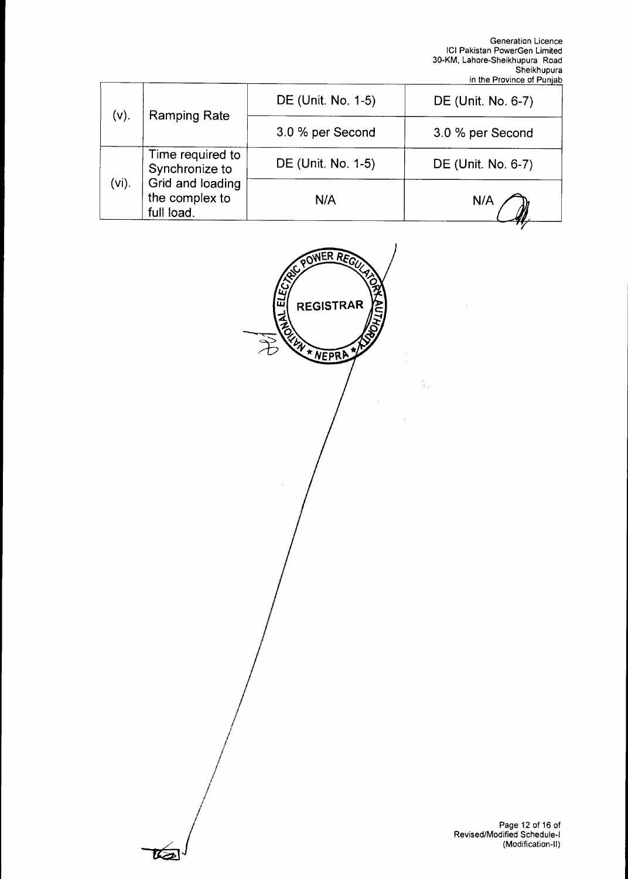|                                    |                    | DE (Unit. No. 6-7) |
|------------------------------------|--------------------|--------------------|
| <b>Ramping Rate</b>                | 3.0 % per Second   | 3.0 % per Second   |
| Time required to<br>Synchronize to | DE (Unit. No. 1-5) | DE (Unit. No. 6-7) |
| the complex to<br>full load.       | N/A                | N/A                |
|                                    | Grid and loading   |                    |



ब्ब्य

Page 12 of 16 of Revised/Modified Schedule-I (Modification-II)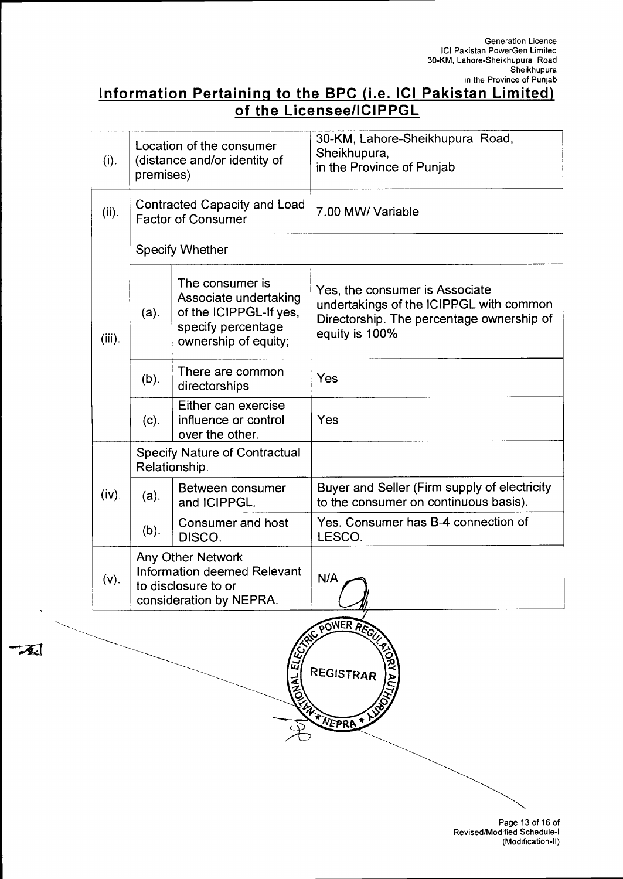### **Information Pertaining to the BPC (i.e. ICI Pakistan Limited) of the Licensee/ICIPPGL**

| (i).      | Location of the consumer<br>(distance and/or identity of<br>premises)                                     |                                                                                                                  | 30-KM, Lahore-Sheikhupura Road,<br>Sheikhupura,<br>in the Province of Punjab                                                             |
|-----------|-----------------------------------------------------------------------------------------------------------|------------------------------------------------------------------------------------------------------------------|------------------------------------------------------------------------------------------------------------------------------------------|
| (ii).     | <b>Contracted Capacity and Load</b><br><b>Factor of Consumer</b>                                          |                                                                                                                  | 7.00 MW/ Variable                                                                                                                        |
|           |                                                                                                           | <b>Specify Whether</b>                                                                                           |                                                                                                                                          |
| $(iii)$ . | $(a)$ .                                                                                                   | The consumer is<br>Associate undertaking<br>of the ICIPPGL-If yes,<br>specify percentage<br>ownership of equity; | Yes, the consumer is Associate<br>undertakings of the ICIPPGL with common<br>Directorship. The percentage ownership of<br>equity is 100% |
|           | $(b)$ .                                                                                                   | There are common<br>directorships                                                                                | Yes                                                                                                                                      |
|           | (c).                                                                                                      | Either can exercise<br>influence or control<br>over the other.                                                   | Yes                                                                                                                                      |
|           | <b>Specify Nature of Contractual</b><br>Relationship.                                                     |                                                                                                                  |                                                                                                                                          |
| (iv).     | (a).                                                                                                      | Between consumer<br>and ICIPPGL.                                                                                 | Buyer and Seller (Firm supply of electricity<br>to the consumer on continuous basis).                                                    |
|           | $(b)$ .                                                                                                   | Consumer and host<br>DISCO.                                                                                      | Yes. Consumer has B-4 connection of<br>LESCO.                                                                                            |
| (v).      | <b>Any Other Network</b><br>Information deemed Relevant<br>to disclosure to or<br>consideration by NEPRA. |                                                                                                                  | N/A                                                                                                                                      |

ER REG `QU\ **ONAL ELL** REGISTRAR \* NEPRA

 $\sqrt{2}$ 

Page 13 of 16 of Revised/Modified Schedule-I (Modification-II)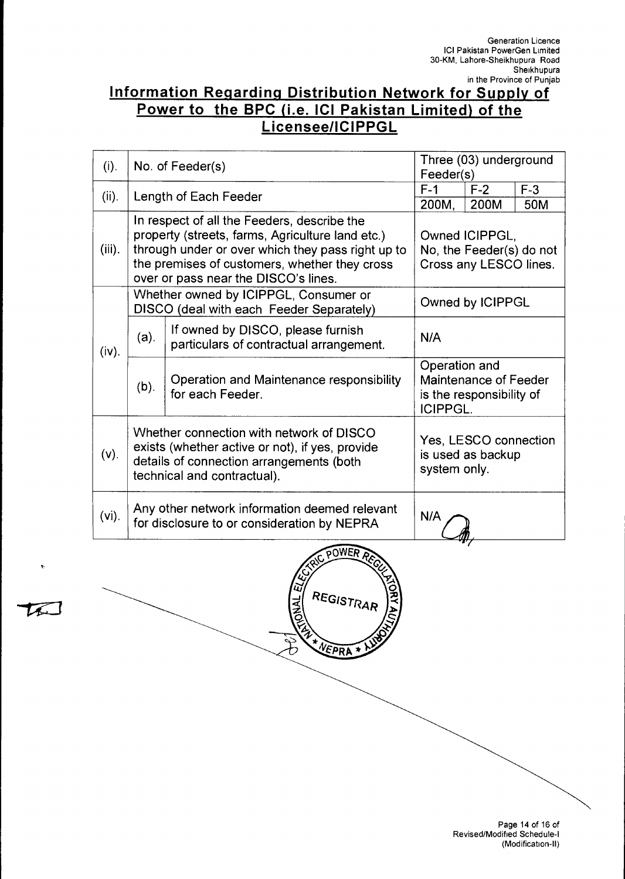### **Information Regarding Distribution Network for Supply of Power to the BPC (i.e. ICI Pakistan Limited) of the Licensee/ICIPPGL**

| (i).      |                                                                                                                                                                        | No. of Feeder(s)                                                                                                                                                                                                                              | Three (03) underground<br>Feeder(s)                                  |                                                            |              |  |
|-----------|------------------------------------------------------------------------------------------------------------------------------------------------------------------------|-----------------------------------------------------------------------------------------------------------------------------------------------------------------------------------------------------------------------------------------------|----------------------------------------------------------------------|------------------------------------------------------------|--------------|--|
| (ii).     |                                                                                                                                                                        | Length of Each Feeder                                                                                                                                                                                                                         | $F-1$<br>200M,                                                       | $F-2$<br>200M                                              | $F-3$<br>50M |  |
| $(iii)$ . |                                                                                                                                                                        | In respect of all the Feeders, describe the<br>property (streets, farms, Agriculture land etc.)<br>through under or over which they pass right up to<br>the premises of customers, whether they cross<br>over or pass near the DISCO's lines. | Owned ICIPPGL,<br>No, the Feeder(s) do not<br>Cross any LESCO lines. |                                                            |              |  |
|           | Whether owned by ICIPPGL, Consumer or<br>DISCO (deal with each Feeder Separately)                                                                                      |                                                                                                                                                                                                                                               |                                                                      | Owned by ICIPPGL                                           |              |  |
| (iv).     | $(a)$ .                                                                                                                                                                | If owned by DISCO, please furnish<br>particulars of contractual arrangement.                                                                                                                                                                  |                                                                      | N/A                                                        |              |  |
|           | Operation and Maintenance responsibility<br>(b).<br>for each Feeder.                                                                                                   |                                                                                                                                                                                                                                               | Operation and<br><b>ICIPPGL.</b>                                     | Maintenance of Feeder<br>is the responsibility of          |              |  |
| (v).      | Whether connection with network of DISCO<br>exists (whether active or not), if yes, provide<br>details of connection arrangements (both<br>technical and contractual). |                                                                                                                                                                                                                                               |                                                                      | Yes, LESCO connection<br>is used as backup<br>system only. |              |  |
| $(vi)$ .  | Any other network information deemed relevant<br>N/A<br>for disclosure to or consideration by NEPRA                                                                    |                                                                                                                                                                                                                                               |                                                                      |                                                            |              |  |
|           |                                                                                                                                                                        | <b>AC POWER</b>                                                                                                                                                                                                                               |                                                                      |                                                            |              |  |

REGISTRAR

NEPRA \*

**DANAL** 

 $\hat{\mathbf{r}}$ 

 $\mathcal{L}$ 

Page 14 of 16 of Revised/Modified Schedule-I (Modification-II)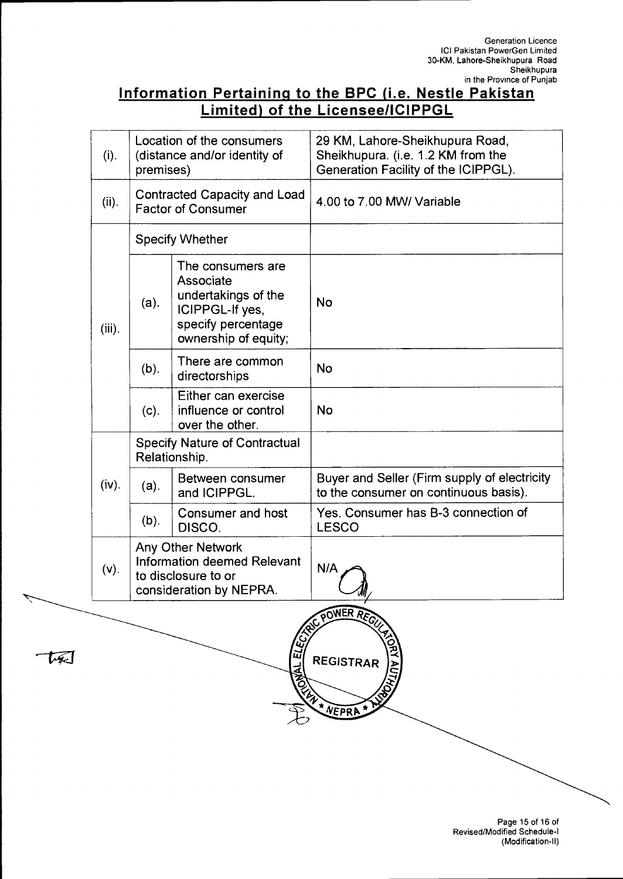### **Information Pertaining to the BPC (i.e. Nestle Pakistan Limited) of the Licensee/ICIPPGL**

| (i).      | Location of the consumers<br>(distance and/or identity of<br>premises) |                                                                                                                        | 29 KM, Lahore-Sheikhupura Road,<br>Sheikhupura. (i.e. 1.2 KM from the<br>Generation Facility of the ICIPPGL). |  |  |
|-----------|------------------------------------------------------------------------|------------------------------------------------------------------------------------------------------------------------|---------------------------------------------------------------------------------------------------------------|--|--|
| (ii).     | <b>Contracted Capacity and Load</b><br><b>Factor of Consumer</b>       |                                                                                                                        | 4.00 to 7.00 MW/ Variable                                                                                     |  |  |
|           | <b>Specify Whether</b>                                                 |                                                                                                                        |                                                                                                               |  |  |
| $(iii)$ . | (a).                                                                   | The consumers are<br>Associate<br>undertakings of the<br>ICIPPGL-If yes,<br>specify percentage<br>ownership of equity; | <b>No</b>                                                                                                     |  |  |
|           | $(b)$ .                                                                | There are common<br>directorships                                                                                      | <b>No</b>                                                                                                     |  |  |
|           | (c).                                                                   | Either can exercise<br>influence or control<br>over the other.                                                         | <b>No</b>                                                                                                     |  |  |
|           | <b>Specify Nature of Contractual</b><br>Relationship.                  |                                                                                                                        |                                                                                                               |  |  |
| $(iv)$ .  | (a).                                                                   | Between consumer<br>and ICIPPGL.                                                                                       | Buyer and Seller (Firm supply of electricity<br>to the consumer on continuous basis).                         |  |  |
|           | (b).                                                                   | Consumer and host<br>DISCO.                                                                                            | Yes. Consumer has B-3 connection of<br><b>LESCO</b>                                                           |  |  |
| (V).      |                                                                        | Any Other Network<br><b>Information deemed Relevant</b><br>to disclosure to or<br>consideration by NEPRA.              | N/A                                                                                                           |  |  |
|           | POWER RECT<br>ũ<br><b>REGISTRAR</b><br>NEPRA                           |                                                                                                                        |                                                                                                               |  |  |
|           |                                                                        |                                                                                                                        |                                                                                                               |  |  |

セヌコ

Page 15 of 16 of Revised/Modified Schedule-I (Modification-II)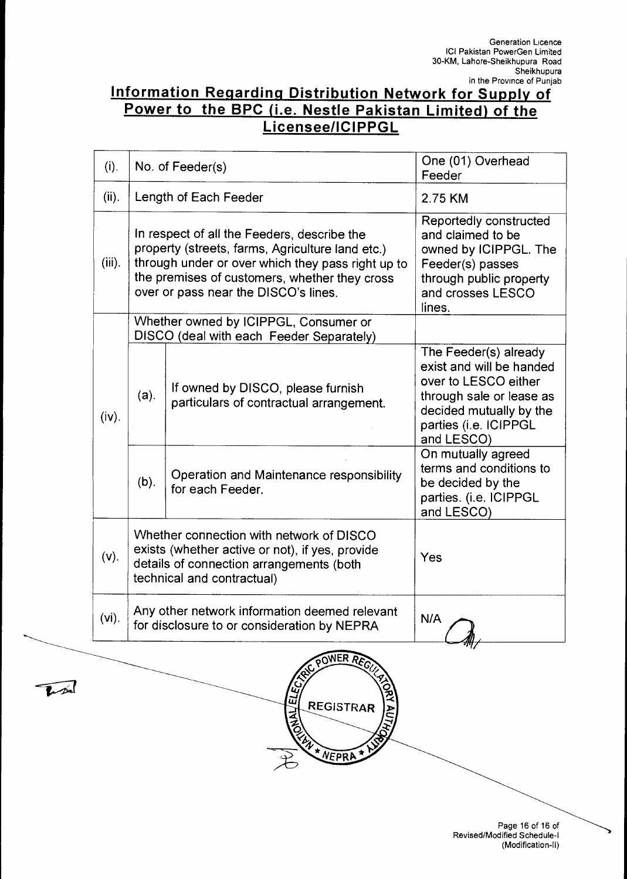### **Information Regarding Distribution Network for Supply of Power to the BPC (i.e. Nestle Pakistan Limited) of the Licensee/ICIPPGL**

| (i).     | No. of Feeder(s)                                                                                                                                                                                                                              |                                                                                                                                                                       | One (01) Overhead<br>Feeder                                                                                                                                             |
|----------|-----------------------------------------------------------------------------------------------------------------------------------------------------------------------------------------------------------------------------------------------|-----------------------------------------------------------------------------------------------------------------------------------------------------------------------|-------------------------------------------------------------------------------------------------------------------------------------------------------------------------|
| (ii).    |                                                                                                                                                                                                                                               | Length of Each Feeder                                                                                                                                                 | 2.75 KM                                                                                                                                                                 |
| (iii).   | In respect of all the Feeders, describe the<br>property (streets, farms, Agriculture land etc.)<br>through under or over which they pass right up to<br>the premises of customers, whether they cross<br>over or pass near the DISCO's lines. |                                                                                                                                                                       | Reportedly constructed<br>and claimed to be<br>owned by ICIPPGL. The<br>Feeder(s) passes<br>through public property<br>and crosses LESCO<br>lines.                      |
| (iv).    | Whether owned by ICIPPGL, Consumer or<br>DISCO (deal with each Feeder Separately)                                                                                                                                                             |                                                                                                                                                                       |                                                                                                                                                                         |
|          | (a).                                                                                                                                                                                                                                          | If owned by DISCO, please furnish<br>particulars of contractual arrangement.                                                                                          | The Feeder(s) already<br>exist and will be handed<br>over to LESCO either<br>through sale or lease as<br>decided mutually by the<br>parties (i.e. ICIPPGL<br>and LESCO) |
|          | (b).                                                                                                                                                                                                                                          | Operation and Maintenance responsibility<br>for each Feeder.                                                                                                          | On mutually agreed<br>terms and conditions to<br>be decided by the<br>parties. (i.e. ICIPPGL<br>and LESCO)                                                              |
| $(v)$ .  |                                                                                                                                                                                                                                               | Whether connection with network of DISCO<br>exists (whether active or not), if yes, provide<br>details of connection arrangements (both<br>technical and contractual) | Yes                                                                                                                                                                     |
| $(vi)$ . | Any other network information deemed relevant<br>for disclosure to or consideration by NEPRA                                                                                                                                                  |                                                                                                                                                                       | N/A                                                                                                                                                                     |



T

Page 16 of 16 of Revised/Modified Schedule-I (Modification-II)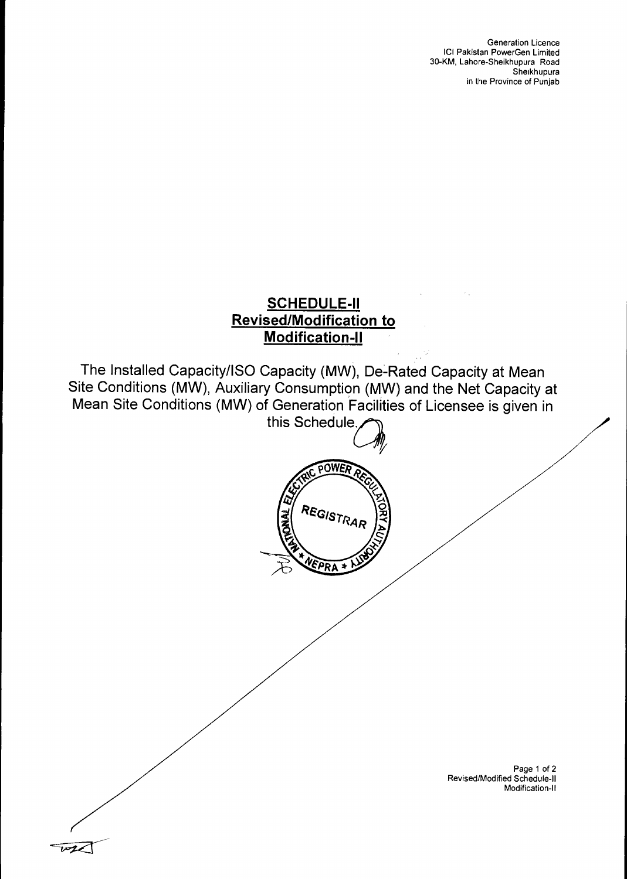### **SCHEDULE-II Revised/Modification to Modification-II**

The Installed Capacity/ISO Capacity (MW), De-Rated Capacity at Mean Site Conditions (MW), Auxiliary Consumption (MW) and the Net Capacity at Mean Site Conditions (MW) of Generation Facilities of Licensee is given in

this Schedule.



Page 1 of 2 Revised/Modified Schedule-11 Modification-II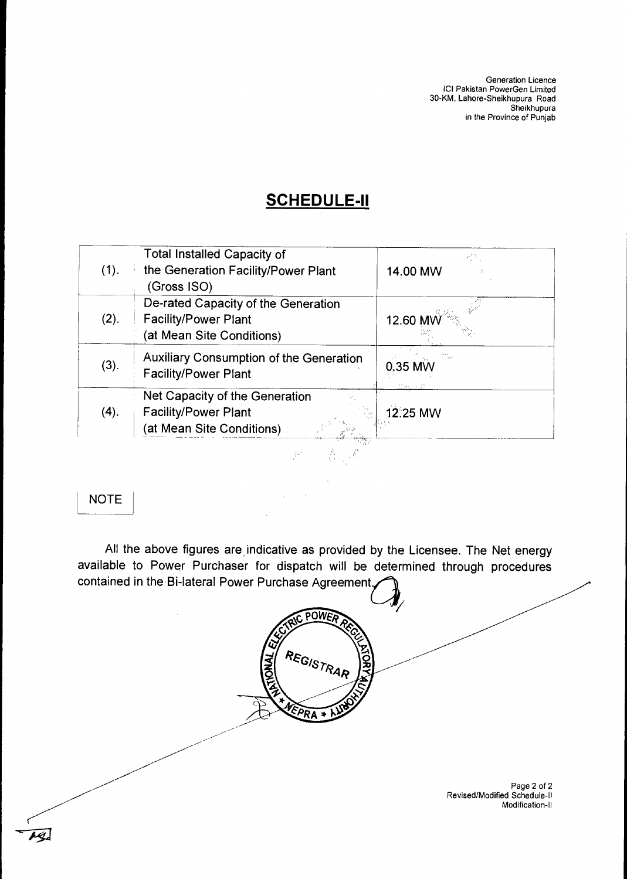Generation Licence ICI Pakistan PowerGen Limited 30-KM, Lahore-Sheikhupura Road Sheikhupura in the Province of Punjab

### **SCHEDULE-II**

|      | <b>Total Installed Capacity of</b>             |           |
|------|------------------------------------------------|-----------|
| (1). | the Generation Facility/Power Plant            | 14.00 MW  |
|      | (Gross ISO)                                    |           |
|      | De-rated Capacity of the Generation            |           |
| (2). | <b>Facility/Power Plant</b>                    | 12.60     |
|      | (at Mean Site Conditions)                      |           |
|      | <b>Auxiliary Consumption of the Generation</b> |           |
| (3). | <b>Facility/Power Plant</b>                    | $0.35$ MW |
|      | Net Capacity of the Generation                 |           |
| (4). | <b>Facility/Power Plant</b>                    | 12:25 MW  |
|      | (at Mean Site Conditions)                      |           |

#### NOTE

All the above figures are indicative as provided by the Licensee. The Net energy available to Power Purchaser for dispatch will be determined through procedures contained in the Bi-lateral Power Purchase Agreement.

POWER  $\bar{\bar{z}}$ REGISTRAR PRA ٠. Page 2 of 2 Revised/Modified Schedule-II Modification-II